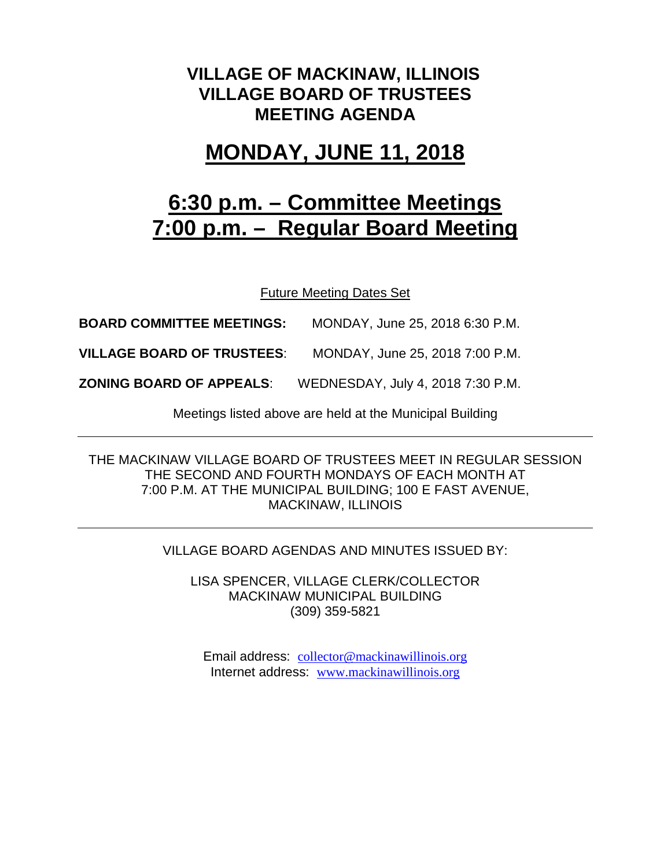## **VILLAGE OF MACKINAW, ILLINOIS VILLAGE BOARD OF TRUSTEES MEETING AGENDA**

# **MONDAY, JUNE 11, 2018**

# **6:30 p.m. – Committee Meetings 7:00 p.m. – Regular Board Meeting**

Future Meeting Dates Set

**BOARD COMMITTEE MEETINGS:** MONDAY, June 25, 2018 6:30 P.M.

**VILLAGE BOARD OF TRUSTEES**: MONDAY, June 25, 2018 7:00 P.M.

**ZONING BOARD OF APPEALS**: WEDNESDAY, July 4, 2018 7:30 P.M.

Meetings listed above are held at the Municipal Building

THE MACKINAW VILLAGE BOARD OF TRUSTEES MEET IN REGULAR SESSION THE SECOND AND FOURTH MONDAYS OF EACH MONTH AT 7:00 P.M. AT THE MUNICIPAL BUILDING; 100 E FAST AVENUE, MACKINAW, ILLINOIS

#### VILLAGE BOARD AGENDAS AND MINUTES ISSUED BY:

LISA SPENCER, VILLAGE CLERK/COLLECTOR MACKINAW MUNICIPAL BUILDING (309) 359-5821

Email address: [collector@mackinawillinois.org](mailto:collector@mackinawillinois.org) Internet address: [www.mackinawillinois.org](http://www.mackinawillinois.org/)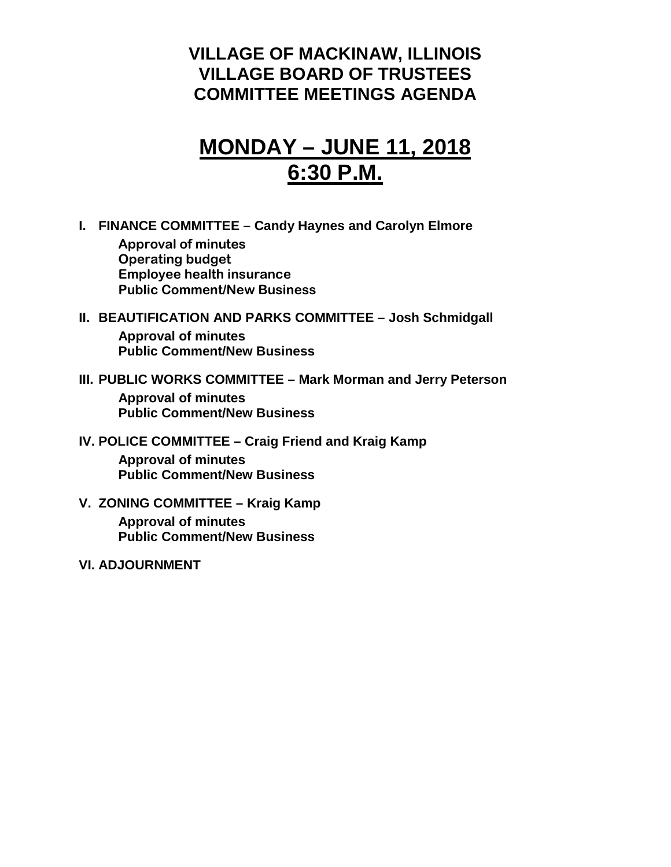## **VILLAGE OF MACKINAW, ILLINOIS VILLAGE BOARD OF TRUSTEES COMMITTEE MEETINGS AGENDA**

# **MONDAY – JUNE 11, 2018 6:30 P.M.**

**I. FINANCE COMMITTEE – Candy Haynes and Carolyn Elmore Approval of minutes Operating budget Employee health insurance**

**Public Comment/New Business**

## **II. BEAUTIFICATION AND PARKS COMMITTEE – Josh Schmidgall Approval of minutes Public Comment/New Business**

### **III. PUBLIC WORKS COMMITTEE – Mark Morman and Jerry Peterson Approval of minutes**

**Public Comment/New Business**

## **IV. POLICE COMMITTEE – Craig Friend and Kraig Kamp**

**Approval of minutes Public Comment/New Business**

## **V. ZONING COMMITTEE – Kraig Kamp**

**Approval of minutes Public Comment/New Business**

#### **VI. ADJOURNMENT**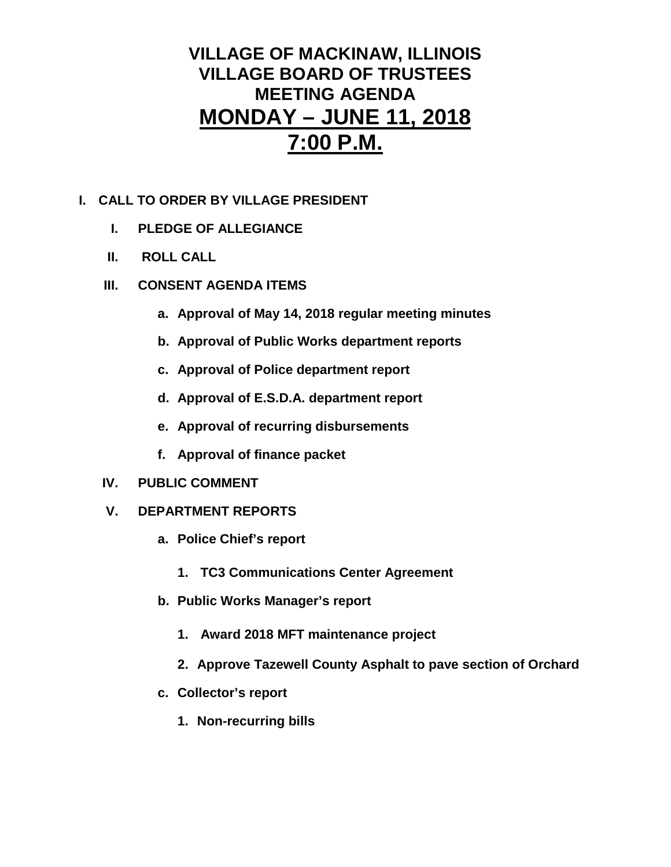## **VILLAGE OF MACKINAW, ILLINOIS VILLAGE BOARD OF TRUSTEES MEETING AGENDA MONDAY – JUNE 11, 2018 7:00 P.M.**

## **I. CALL TO ORDER BY VILLAGE PRESIDENT**

- **I. PLEDGE OF ALLEGIANCE**
- **II. ROLL CALL**
- **III. CONSENT AGENDA ITEMS** 
	- **a. Approval of May 14, 2018 regular meeting minutes**
	- **b. Approval of Public Works department reports**
	- **c. Approval of Police department report**
	- **d. Approval of E.S.D.A. department report**
	- **e. Approval of recurring disbursements**
	- **f. Approval of finance packet**
- **IV. PUBLIC COMMENT**
- **V. DEPARTMENT REPORTS** 
	- **a. Police Chief's report**
		- **1. TC3 Communications Center Agreement**
	- **b. Public Works Manager's report**
		- **1. Award 2018 MFT maintenance project**
		- **2. Approve Tazewell County Asphalt to pave section of Orchard**
	- **c. Collector's report**
		- **1. Non-recurring bills**